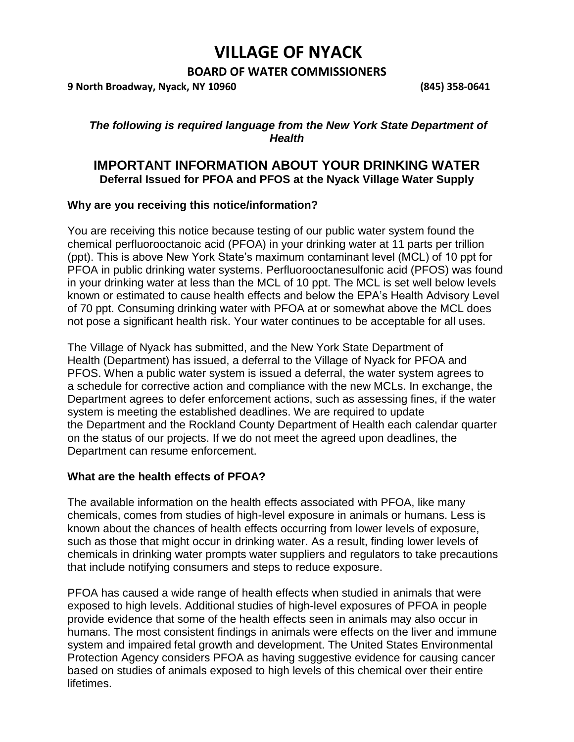# **VILLAGE OF NYACK**

# **BOARD OF WATER COMMISSIONERS**

**9 North Broadway, Nyack, NY 10960 (845) 358-0641**

## *The following is required language from the New York State Department of Health*

# **IMPORTANT INFORMATION ABOUT YOUR DRINKING WATER Deferral Issued for PFOA and PFOS at the Nyack Village Water Supply**

### **Why are you receiving this notice/information?**

You are receiving this notice because testing of our public water system found the chemical perfluorooctanoic acid (PFOA) in your drinking water at 11 parts per trillion (ppt). This is above New York State's maximum contaminant level (MCL) of 10 ppt for PFOA in public drinking water systems. Perfluorooctanesulfonic acid (PFOS) was found in your drinking water at less than the MCL of 10 ppt. The MCL is set well below levels known or estimated to cause health effects and below the EPA's Health Advisory Level of 70 ppt. Consuming drinking water with PFOA at or somewhat above the MCL does not pose a significant health risk. Your water continues to be acceptable for all uses.

The Village of Nyack has submitted, and the New York State Department of Health (Department) has issued, a deferral to the Village of Nyack for PFOA and PFOS. When a public water system is issued a deferral, the water system agrees to a schedule for corrective action and compliance with the new MCLs. In exchange, the Department agrees to defer enforcement actions, such as assessing fines, if the water system is meeting the established deadlines. We are required to update the Department and the Rockland County Department of Health each calendar quarter on the status of our projects. If we do not meet the agreed upon deadlines, the Department can resume enforcement.

### **What are the health effects of PFOA?**

The available information on the health effects associated with PFOA, like many chemicals, comes from studies of high-level exposure in animals or humans. Less is known about the chances of health effects occurring from lower levels of exposure, such as those that might occur in drinking water. As a result, finding lower levels of chemicals in drinking water prompts water suppliers and regulators to take precautions that include notifying consumers and steps to reduce exposure.

PFOA has caused a wide range of health effects when studied in animals that were exposed to high levels. Additional studies of high-level exposures of PFOA in people provide evidence that some of the health effects seen in animals may also occur in humans. The most consistent findings in animals were effects on the liver and immune system and impaired fetal growth and development. The United States Environmental Protection Agency considers PFOA as having suggestive evidence for causing cancer based on studies of animals exposed to high levels of this chemical over their entire lifetimes.